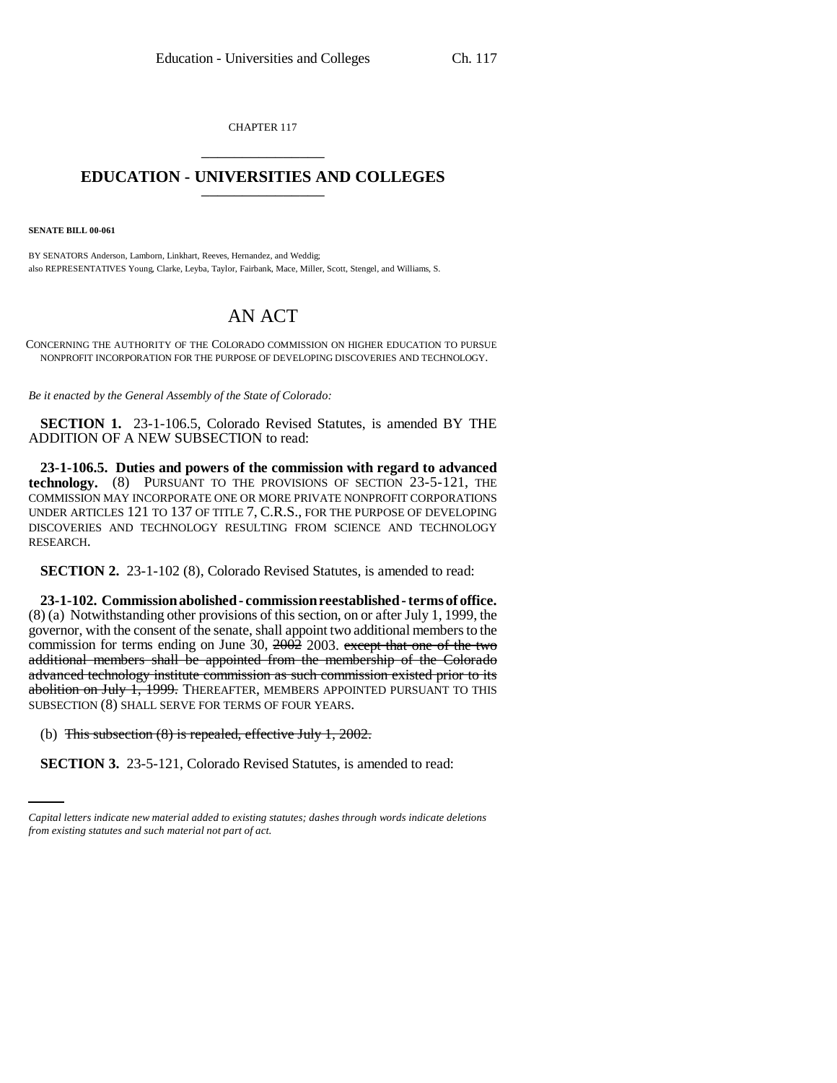CHAPTER 117 \_\_\_\_\_\_\_\_\_\_\_\_\_\_\_

## **EDUCATION - UNIVERSITIES AND COLLEGES** \_\_\_\_\_\_\_\_\_\_\_\_\_\_\_

**SENATE BILL 00-061** 

BY SENATORS Anderson, Lamborn, Linkhart, Reeves, Hernandez, and Weddig; also REPRESENTATIVES Young, Clarke, Leyba, Taylor, Fairbank, Mace, Miller, Scott, Stengel, and Williams, S.

## AN ACT

CONCERNING THE AUTHORITY OF THE COLORADO COMMISSION ON HIGHER EDUCATION TO PURSUE NONPROFIT INCORPORATION FOR THE PURPOSE OF DEVELOPING DISCOVERIES AND TECHNOLOGY.

*Be it enacted by the General Assembly of the State of Colorado:*

**SECTION 1.** 23-1-106.5, Colorado Revised Statutes, is amended BY THE ADDITION OF A NEW SUBSECTION to read:

**23-1-106.5. Duties and powers of the commission with regard to advanced technology.** (8) PURSUANT TO THE PROVISIONS OF SECTION 23-5-121, THE COMMISSION MAY INCORPORATE ONE OR MORE PRIVATE NONPROFIT CORPORATIONS UNDER ARTICLES 121 TO 137 OF TITLE 7, C.R.S., FOR THE PURPOSE OF DEVELOPING DISCOVERIES AND TECHNOLOGY RESULTING FROM SCIENCE AND TECHNOLOGY RESEARCH.

**SECTION 2.** 23-1-102 (8), Colorado Revised Statutes, is amended to read:

**23-1-102. Commission abolished - commission reestablished - terms of office.** (8) (a) Notwithstanding other provisions of this section, on or after July 1, 1999, the governor, with the consent of the senate, shall appoint two additional members to the commission for terms ending on June 30,  $200\overline{2}$  2003. except that one of the two additional members shall be appointed from the membership of the Colorado advanced technology institute commission as such commission existed prior to its abolition on July 1, 1999. THEREAFTER, MEMBERS APPOINTED PURSUANT TO THIS SUBSECTION (8) SHALL SERVE FOR TERMS OF FOUR YEARS.

(b) This subsection  $(8)$  is repealed, effective July 1, 2002.

**SECTION 3.** 23-5-121, Colorado Revised Statutes, is amended to read:

*Capital letters indicate new material added to existing statutes; dashes through words indicate deletions from existing statutes and such material not part of act.*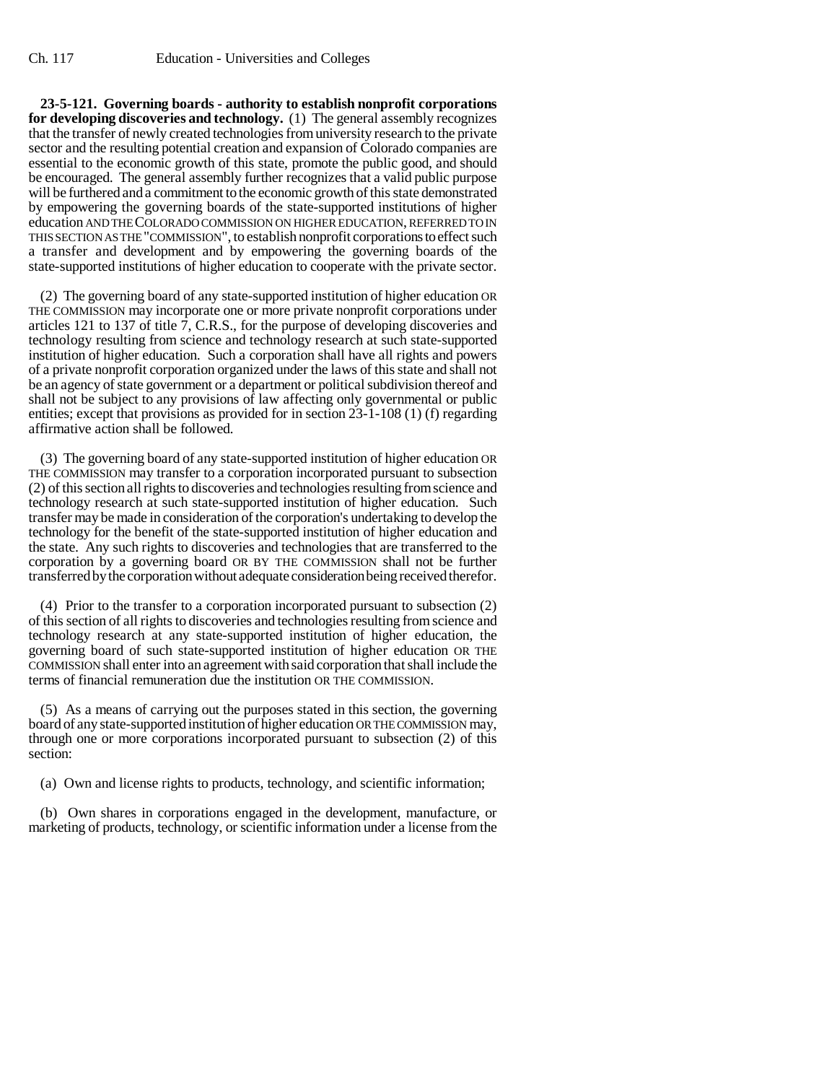**23-5-121. Governing boards - authority to establish nonprofit corporations for developing discoveries and technology.** (1) The general assembly recognizes that the transfer of newly created technologies from university research to the private sector and the resulting potential creation and expansion of Colorado companies are essential to the economic growth of this state, promote the public good, and should be encouraged. The general assembly further recognizes that a valid public purpose will be furthered and a commitment to the economic growth of this state demonstrated by empowering the governing boards of the state-supported institutions of higher education AND THE COLORADO COMMISSION ON HIGHER EDUCATION, REFERRED TO IN THIS SECTION AS THE "COMMISSION", to establish nonprofit corporations to effect such a transfer and development and by empowering the governing boards of the state-supported institutions of higher education to cooperate with the private sector.

(2) The governing board of any state-supported institution of higher education OR THE COMMISSION may incorporate one or more private nonprofit corporations under articles 121 to 137 of title 7, C.R.S., for the purpose of developing discoveries and technology resulting from science and technology research at such state-supported institution of higher education. Such a corporation shall have all rights and powers of a private nonprofit corporation organized under the laws of this state and shall not be an agency of state government or a department or political subdivision thereof and shall not be subject to any provisions of law affecting only governmental or public entities; except that provisions as provided for in section 23-1-108 (1) (f) regarding affirmative action shall be followed.

(3) The governing board of any state-supported institution of higher education OR THE COMMISSION may transfer to a corporation incorporated pursuant to subsection (2) of this section all rights to discoveries and technologies resulting from science and technology research at such state-supported institution of higher education. Such transfer may be made in consideration of the corporation's undertaking to develop the technology for the benefit of the state-supported institution of higher education and the state. Any such rights to discoveries and technologies that are transferred to the corporation by a governing board OR BY THE COMMISSION shall not be further transferred by the corporation without adequate consideration being received therefor.

(4) Prior to the transfer to a corporation incorporated pursuant to subsection (2) of this section of all rights to discoveries and technologies resulting from science and technology research at any state-supported institution of higher education, the governing board of such state-supported institution of higher education OR THE COMMISSION shall enter into an agreement with said corporation that shall include the terms of financial remuneration due the institution OR THE COMMISSION.

(5) As a means of carrying out the purposes stated in this section, the governing board of any state-supported institution of higher education OR THE COMMISSION may, through one or more corporations incorporated pursuant to subsection (2) of this section:

(a) Own and license rights to products, technology, and scientific information;

(b) Own shares in corporations engaged in the development, manufacture, or marketing of products, technology, or scientific information under a license from the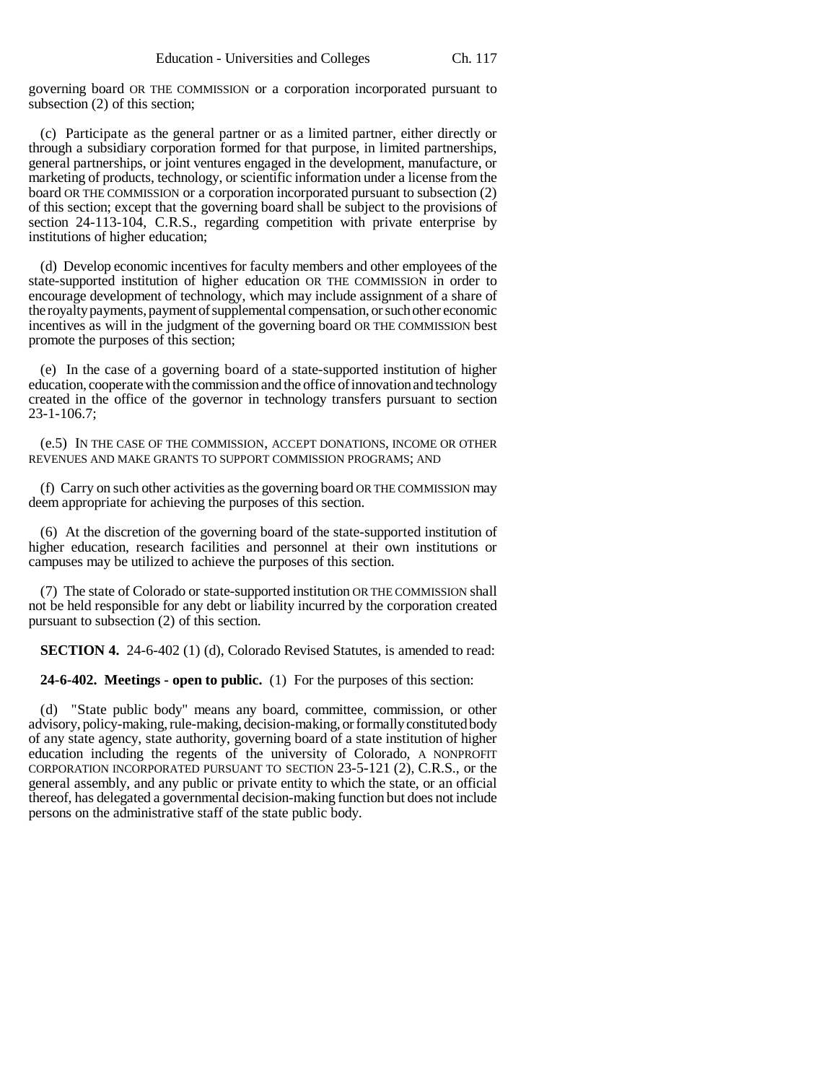governing board OR THE COMMISSION or a corporation incorporated pursuant to subsection (2) of this section;

(c) Participate as the general partner or as a limited partner, either directly or through a subsidiary corporation formed for that purpose, in limited partnerships, general partnerships, or joint ventures engaged in the development, manufacture, or marketing of products, technology, or scientific information under a license from the board OR THE COMMISSION or a corporation incorporated pursuant to subsection (2) of this section; except that the governing board shall be subject to the provisions of section 24-113-104, C.R.S., regarding competition with private enterprise by institutions of higher education;

(d) Develop economic incentives for faculty members and other employees of the state-supported institution of higher education OR THE COMMISSION in order to encourage development of technology, which may include assignment of a share of the royalty payments, payment of supplemental compensation, or such other economic incentives as will in the judgment of the governing board OR THE COMMISSION best promote the purposes of this section;

(e) In the case of a governing board of a state-supported institution of higher education, cooperate with the commission and the office of innovation and technology created in the office of the governor in technology transfers pursuant to section 23-1-106.7;

(e.5) IN THE CASE OF THE COMMISSION, ACCEPT DONATIONS, INCOME OR OTHER REVENUES AND MAKE GRANTS TO SUPPORT COMMISSION PROGRAMS; AND

(f) Carry on such other activities as the governing board OR THE COMMISSION may deem appropriate for achieving the purposes of this section.

(6) At the discretion of the governing board of the state-supported institution of higher education, research facilities and personnel at their own institutions or campuses may be utilized to achieve the purposes of this section.

(7) The state of Colorado or state-supported institution OR THE COMMISSION shall not be held responsible for any debt or liability incurred by the corporation created pursuant to subsection (2) of this section.

**SECTION 4.** 24-6-402 (1) (d), Colorado Revised Statutes, is amended to read:

**24-6-402. Meetings - open to public.** (1) For the purposes of this section:

(d) "State public body" means any board, committee, commission, or other advisory, policy-making, rule-making, decision-making, or formally constituted body of any state agency, state authority, governing board of a state institution of higher education including the regents of the university of Colorado, A NONPROFIT CORPORATION INCORPORATED PURSUANT TO SECTION 23-5-121 (2), C.R.S., or the general assembly, and any public or private entity to which the state, or an official thereof, has delegated a governmental decision-making function but does not include persons on the administrative staff of the state public body.